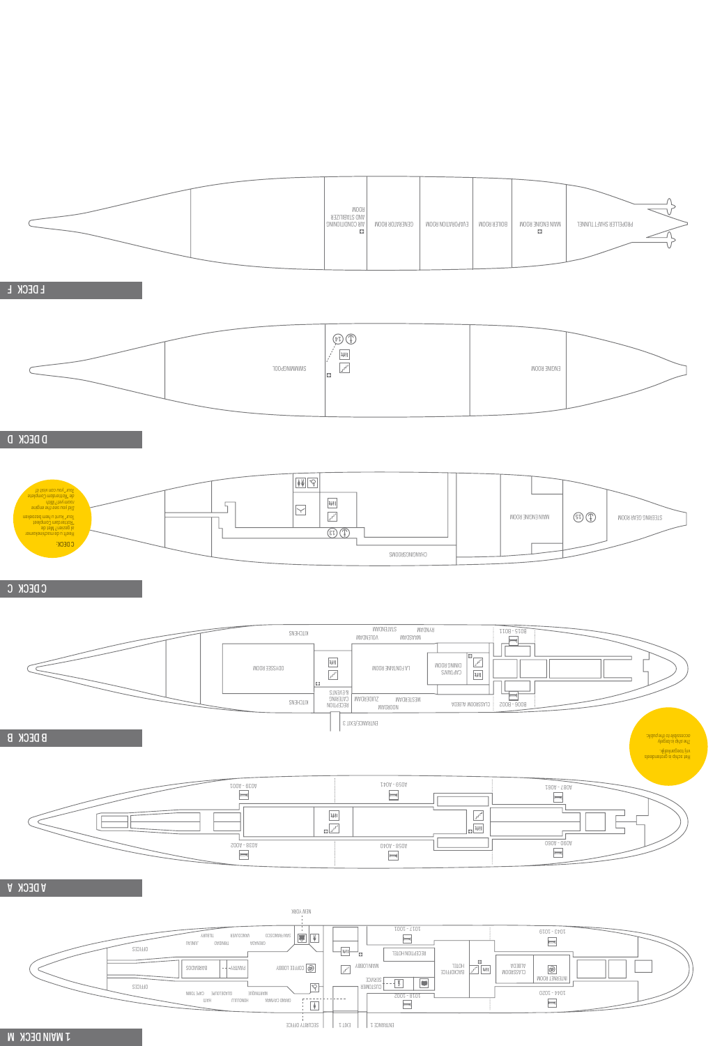





|                                                                                                                                                                                                                             | $\bigcircled{\hspace{-0.75pt}\raisebox{-0.27pt}{\text{\circle*{1.5}}}}\bigcirc$<br>$\frac{1}{2}$<br>$\overline{r^{\prime }}$<br>T00d9NIWWIMS<br>C. |                                                                                                                                                                                                                              | ENGINE ROOM                                                       |                                                                                                        |
|-----------------------------------------------------------------------------------------------------------------------------------------------------------------------------------------------------------------------------|----------------------------------------------------------------------------------------------------------------------------------------------------|------------------------------------------------------------------------------------------------------------------------------------------------------------------------------------------------------------------------------|-------------------------------------------------------------------|--------------------------------------------------------------------------------------------------------|
| <b>D DECK D</b>                                                                                                                                                                                                             |                                                                                                                                                    |                                                                                                                                                                                                                              |                                                                   |                                                                                                        |
| Tour <sup>e</sup> you can visit it!<br>de "Rotterdam Complete<br>de "Rotterdam Complete"<br>ou visit it!<br>Tour" kunt u hem bezoeken<br>"Rotterdam Compleet<br>"Rotterdam Compleet<br>Tour" kunt u hem bezoeken<br>C DECK: | $\boxed{\frac{1}{2}$<br>$\upmu$<br>$\triangleright$<br>$\boldsymbol{r}^{\prime}$<br>$\overline{\mathbb{CD}(\mathbb{D})}$                           | CHAGINGSPOOR                                                                                                                                                                                                                 | $\textcircled{\tiny{\textcircled{\tiny{f}}}}$<br>MAIN ENGINE ROOM | STEERING GEAR ROOM                                                                                     |
| C DECK C                                                                                                                                                                                                                    |                                                                                                                                                    |                                                                                                                                                                                                                              |                                                                   |                                                                                                        |
| $\overline{\phantom{a}}$                                                                                                                                                                                                    | KILCHENS<br>$\frac{1}{2}$<br>ODYSSEE ROOM<br>$\overline{r^{\prime }}$<br>Ð<br>& ENENIS<br><b>ZUIDERDAM   CATERING</b><br>KILCHENS<br>RECEPTION     | MAGWEIATS<br><b>MAGNY9</b><br><b>MAGNEJOV</b><br><b>MAGSAAM</b><br>ю,<br>$\sqrt{1 + \frac{1}{2}}$<br>DINING KOON<br>LA FONTAINE ROOM<br>CAPTAIN'S<br>$\frac{1}{2}$<br>WESTERDAM<br>BOOG - BOOS   CTV22KOON VTBEDV<br>MAGROON | TT08-9T08<br>$=$                                                  |                                                                                                        |
| <b>B DECK B</b>                                                                                                                                                                                                             |                                                                                                                                                    | ENTRANCE/EXIT 3                                                                                                                                                                                                              |                                                                   | eleebretorp at qirba tell<br>  Vitj toegankelijk<br>  vrij toegankelijk<br>  coessaible to the public. |
|                                                                                                                                                                                                                             | LOOA - 020A<br>$\begin{array}{c} \boxed{441} \\ \\ \boxed{12} \end{array}$                                                                         | $L40A - 020A$<br>$\begin{array}{c}\n\hline\n\downarrow \\ \hline\n\downarrow\n\end{array}$                                                                                                                                   |                                                                   |                                                                                                        |

1 MAIN DECK M

# A DECK A

F DECK F